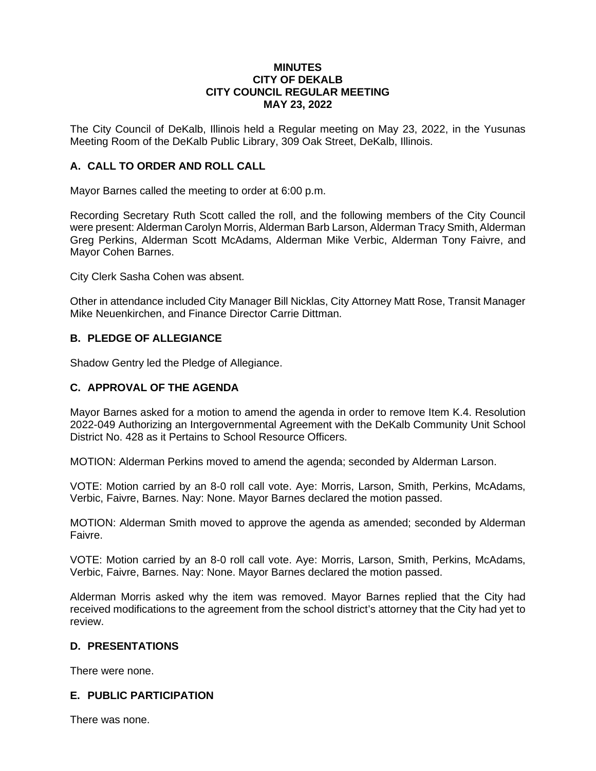#### **MINUTES CITY OF DEKALB CITY COUNCIL REGULAR MEETING MAY 23, 2022**

The City Council of DeKalb, Illinois held a Regular meeting on May 23, 2022, in the Yusunas Meeting Room of the DeKalb Public Library, 309 Oak Street, DeKalb, Illinois.

### **A. CALL TO ORDER AND ROLL CALL**

Mayor Barnes called the meeting to order at 6:00 p.m.

Recording Secretary Ruth Scott called the roll, and the following members of the City Council were present: Alderman Carolyn Morris, Alderman Barb Larson, Alderman Tracy Smith, Alderman Greg Perkins, Alderman Scott McAdams, Alderman Mike Verbic, Alderman Tony Faivre, and Mayor Cohen Barnes.

City Clerk Sasha Cohen was absent.

Other in attendance included City Manager Bill Nicklas, City Attorney Matt Rose, Transit Manager Mike Neuenkirchen, and Finance Director Carrie Dittman.

## **B. PLEDGE OF ALLEGIANCE**

Shadow Gentry led the Pledge of Allegiance.

### **C. APPROVAL OF THE AGENDA**

Mayor Barnes asked for a motion to amend the agenda in order to remove Item K.4. Resolution 2022-049 Authorizing an Intergovernmental Agreement with the DeKalb Community Unit School District No. 428 as it Pertains to School Resource Officers.

MOTION: Alderman Perkins moved to amend the agenda; seconded by Alderman Larson.

VOTE: Motion carried by an 8-0 roll call vote. Aye: Morris, Larson, Smith, Perkins, McAdams, Verbic, Faivre, Barnes. Nay: None. Mayor Barnes declared the motion passed.

MOTION: Alderman Smith moved to approve the agenda as amended; seconded by Alderman Faivre.

VOTE: Motion carried by an 8-0 roll call vote. Aye: Morris, Larson, Smith, Perkins, McAdams, Verbic, Faivre, Barnes. Nay: None. Mayor Barnes declared the motion passed.

Alderman Morris asked why the item was removed. Mayor Barnes replied that the City had received modifications to the agreement from the school district's attorney that the City had yet to review.

#### **D. PRESENTATIONS**

There were none.

#### **E. PUBLIC PARTICIPATION**

There was none.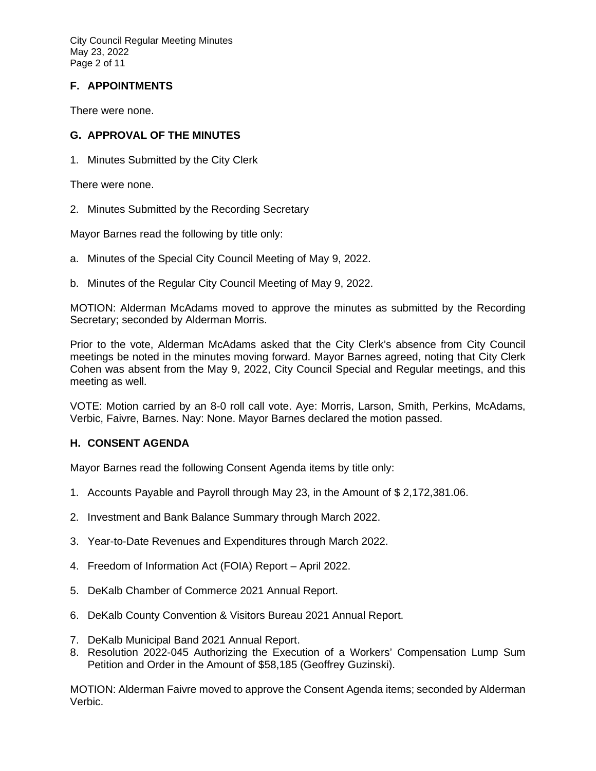City Council Regular Meeting Minutes May 23, 2022 Page 2 of 11

# **F. APPOINTMENTS**

There were none.

## **G. APPROVAL OF THE MINUTES**

1. Minutes Submitted by the City Clerk

There were none.

2. Minutes Submitted by the Recording Secretary

Mayor Barnes read the following by title only:

- a. Minutes of the Special City Council Meeting of May 9, 2022.
- b. Minutes of the Regular City Council Meeting of May 9, 2022.

MOTION: Alderman McAdams moved to approve the minutes as submitted by the Recording Secretary; seconded by Alderman Morris.

Prior to the vote, Alderman McAdams asked that the City Clerk's absence from City Council meetings be noted in the minutes moving forward. Mayor Barnes agreed, noting that City Clerk Cohen was absent from the May 9, 2022, City Council Special and Regular meetings, and this meeting as well.

VOTE: Motion carried by an 8-0 roll call vote. Aye: Morris, Larson, Smith, Perkins, McAdams, Verbic, Faivre, Barnes. Nay: None. Mayor Barnes declared the motion passed.

## **H. CONSENT AGENDA**

Mayor Barnes read the following Consent Agenda items by title only:

- 1. Accounts Payable and Payroll through May 23, in the Amount of \$ 2,172,381.06.
- 2. Investment and Bank Balance Summary through March 2022.
- 3. Year-to-Date Revenues and Expenditures through March 2022.
- 4. Freedom of Information Act (FOIA) Report April 2022.
- 5. DeKalb Chamber of Commerce 2021 Annual Report.
- 6. DeKalb County Convention & Visitors Bureau 2021 Annual Report.
- 7. DeKalb Municipal Band 2021 Annual Report.
- 8. Resolution 2022-045 Authorizing the Execution of a Workers' Compensation Lump Sum Petition and Order in the Amount of \$58,185 (Geoffrey Guzinski).

MOTION: Alderman Faivre moved to approve the Consent Agenda items; seconded by Alderman Verbic.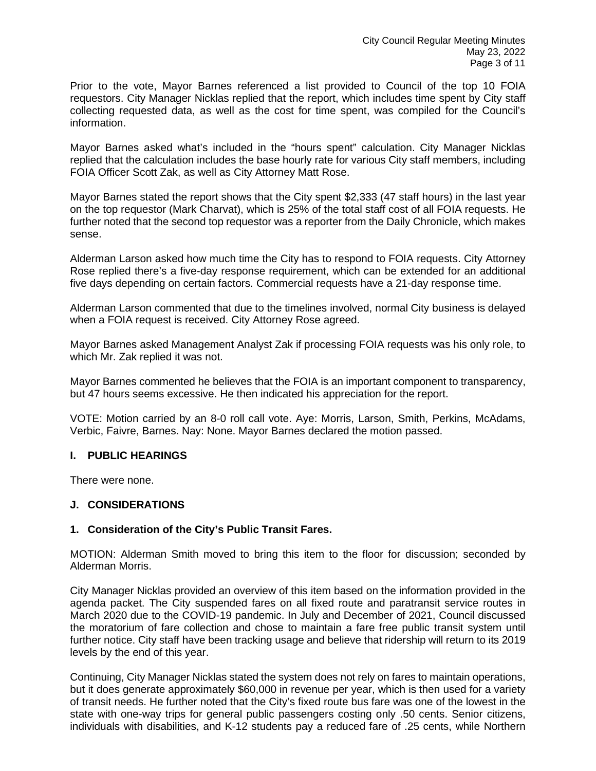Prior to the vote, Mayor Barnes referenced a list provided to Council of the top 10 FOIA requestors. City Manager Nicklas replied that the report, which includes time spent by City staff collecting requested data, as well as the cost for time spent, was compiled for the Council's information.

Mayor Barnes asked what's included in the "hours spent" calculation. City Manager Nicklas replied that the calculation includes the base hourly rate for various City staff members, including FOIA Officer Scott Zak, as well as City Attorney Matt Rose.

Mayor Barnes stated the report shows that the City spent \$2,333 (47 staff hours) in the last year on the top requestor (Mark Charvat), which is 25% of the total staff cost of all FOIA requests. He further noted that the second top requestor was a reporter from the Daily Chronicle, which makes sense.

Alderman Larson asked how much time the City has to respond to FOIA requests. City Attorney Rose replied there's a five-day response requirement, which can be extended for an additional five days depending on certain factors. Commercial requests have a 21-day response time.

Alderman Larson commented that due to the timelines involved, normal City business is delayed when a FOIA request is received. City Attorney Rose agreed.

Mayor Barnes asked Management Analyst Zak if processing FOIA requests was his only role, to which Mr. Zak replied it was not.

Mayor Barnes commented he believes that the FOIA is an important component to transparency, but 47 hours seems excessive. He then indicated his appreciation for the report.

VOTE: Motion carried by an 8-0 roll call vote. Aye: Morris, Larson, Smith, Perkins, McAdams, Verbic, Faivre, Barnes. Nay: None. Mayor Barnes declared the motion passed.

#### **I. PUBLIC HEARINGS**

There were none.

#### **J. CONSIDERATIONS**

#### **1. Consideration of the City's Public Transit Fares.**

MOTION: Alderman Smith moved to bring this item to the floor for discussion; seconded by Alderman Morris.

City Manager Nicklas provided an overview of this item based on the information provided in the agenda packet. The City suspended fares on all fixed route and paratransit service routes in March 2020 due to the COVID-19 pandemic. In July and December of 2021, Council discussed the moratorium of fare collection and chose to maintain a fare free public transit system until further notice. City staff have been tracking usage and believe that ridership will return to its 2019 levels by the end of this year.

Continuing, City Manager Nicklas stated the system does not rely on fares to maintain operations, but it does generate approximately \$60,000 in revenue per year, which is then used for a variety of transit needs. He further noted that the City's fixed route bus fare was one of the lowest in the state with one-way trips for general public passengers costing only .50 cents. Senior citizens, individuals with disabilities, and K-12 students pay a reduced fare of .25 cents, while Northern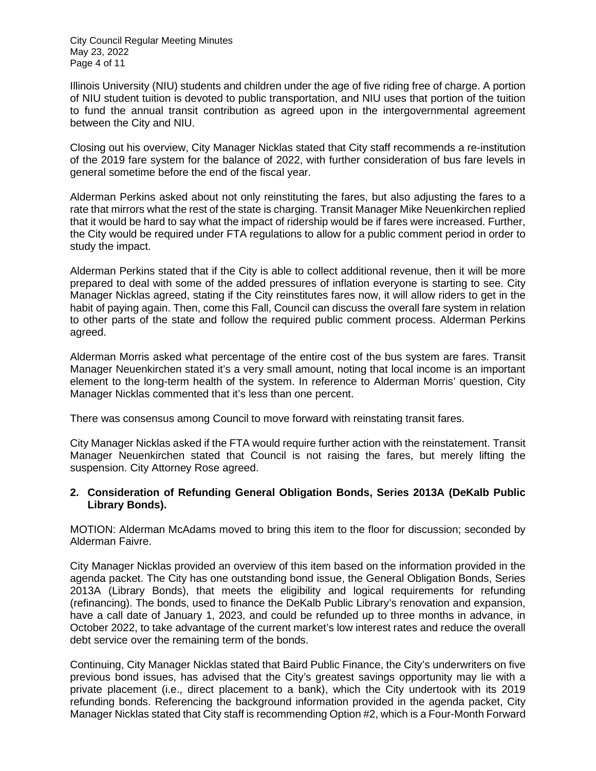City Council Regular Meeting Minutes May 23, 2022 Page 4 of 11

Illinois University (NIU) students and children under the age of five riding free of charge. A portion of NIU student tuition is devoted to public transportation, and NIU uses that portion of the tuition to fund the annual transit contribution as agreed upon in the intergovernmental agreement between the City and NIU.

Closing out his overview, City Manager Nicklas stated that City staff recommends a re-institution of the 2019 fare system for the balance of 2022, with further consideration of bus fare levels in general sometime before the end of the fiscal year.

Alderman Perkins asked about not only reinstituting the fares, but also adjusting the fares to a rate that mirrors what the rest of the state is charging. Transit Manager Mike Neuenkirchen replied that it would be hard to say what the impact of ridership would be if fares were increased. Further, the City would be required under FTA regulations to allow for a public comment period in order to study the impact.

Alderman Perkins stated that if the City is able to collect additional revenue, then it will be more prepared to deal with some of the added pressures of inflation everyone is starting to see. City Manager Nicklas agreed, stating if the City reinstitutes fares now, it will allow riders to get in the habit of paying again. Then, come this Fall, Council can discuss the overall fare system in relation to other parts of the state and follow the required public comment process. Alderman Perkins agreed.

Alderman Morris asked what percentage of the entire cost of the bus system are fares. Transit Manager Neuenkirchen stated it's a very small amount, noting that local income is an important element to the long-term health of the system. In reference to Alderman Morris' question, City Manager Nicklas commented that it's less than one percent.

There was consensus among Council to move forward with reinstating transit fares.

City Manager Nicklas asked if the FTA would require further action with the reinstatement. Transit Manager Neuenkirchen stated that Council is not raising the fares, but merely lifting the suspension. City Attorney Rose agreed.

## **2. Consideration of Refunding General Obligation Bonds, Series 2013A (DeKalb Public Library Bonds).**

MOTION: Alderman McAdams moved to bring this item to the floor for discussion; seconded by Alderman Faivre.

City Manager Nicklas provided an overview of this item based on the information provided in the agenda packet. The City has one outstanding bond issue, the General Obligation Bonds, Series 2013A (Library Bonds), that meets the eligibility and logical requirements for refunding (refinancing). The bonds, used to finance the DeKalb Public Library's renovation and expansion, have a call date of January 1, 2023, and could be refunded up to three months in advance, in October 2022, to take advantage of the current market's low interest rates and reduce the overall debt service over the remaining term of the bonds.

Continuing, City Manager Nicklas stated that Baird Public Finance, the City's underwriters on five previous bond issues, has advised that the City's greatest savings opportunity may lie with a private placement (i.e., direct placement to a bank), which the City undertook with its 2019 refunding bonds. Referencing the background information provided in the agenda packet, City Manager Nicklas stated that City staff is recommending Option #2, which is a Four-Month Forward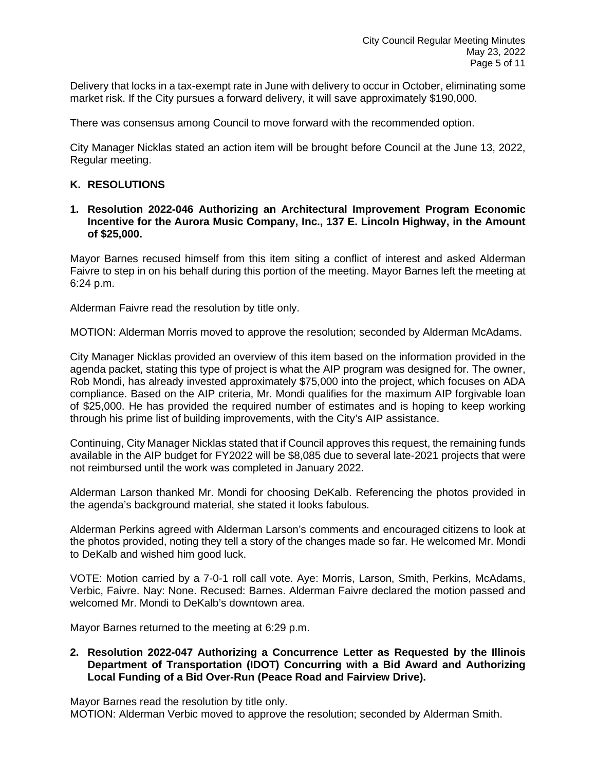Delivery that locks in a tax-exempt rate in June with delivery to occur in October, eliminating some market risk. If the City pursues a forward delivery, it will save approximately \$190,000.

There was consensus among Council to move forward with the recommended option.

City Manager Nicklas stated an action item will be brought before Council at the June 13, 2022, Regular meeting.

## **K. RESOLUTIONS**

**1. Resolution 2022-046 Authorizing an Architectural Improvement Program Economic Incentive for the Aurora Music Company, Inc., 137 E. Lincoln Highway, in the Amount of \$25,000.** 

Mayor Barnes recused himself from this item siting a conflict of interest and asked Alderman Faivre to step in on his behalf during this portion of the meeting. Mayor Barnes left the meeting at 6:24 p.m.

Alderman Faivre read the resolution by title only.

MOTION: Alderman Morris moved to approve the resolution; seconded by Alderman McAdams.

City Manager Nicklas provided an overview of this item based on the information provided in the agenda packet, stating this type of project is what the AIP program was designed for. The owner, Rob Mondi, has already invested approximately \$75,000 into the project, which focuses on ADA compliance. Based on the AIP criteria, Mr. Mondi qualifies for the maximum AIP forgivable loan of \$25,000. He has provided the required number of estimates and is hoping to keep working through his prime list of building improvements, with the City's AIP assistance.

Continuing, City Manager Nicklas stated that if Council approves this request, the remaining funds available in the AIP budget for FY2022 will be \$8,085 due to several late-2021 projects that were not reimbursed until the work was completed in January 2022.

Alderman Larson thanked Mr. Mondi for choosing DeKalb. Referencing the photos provided in the agenda's background material, she stated it looks fabulous.

Alderman Perkins agreed with Alderman Larson's comments and encouraged citizens to look at the photos provided, noting they tell a story of the changes made so far. He welcomed Mr. Mondi to DeKalb and wished him good luck.

VOTE: Motion carried by a 7-0-1 roll call vote. Aye: Morris, Larson, Smith, Perkins, McAdams, Verbic, Faivre. Nay: None. Recused: Barnes. Alderman Faivre declared the motion passed and welcomed Mr. Mondi to DeKalb's downtown area.

Mayor Barnes returned to the meeting at 6:29 p.m.

### **2. Resolution 2022-047 Authorizing a Concurrence Letter as Requested by the Illinois Department of Transportation (IDOT) Concurring with a Bid Award and Authorizing Local Funding of a Bid Over-Run (Peace Road and Fairview Drive).**

Mayor Barnes read the resolution by title only. MOTION: Alderman Verbic moved to approve the resolution; seconded by Alderman Smith.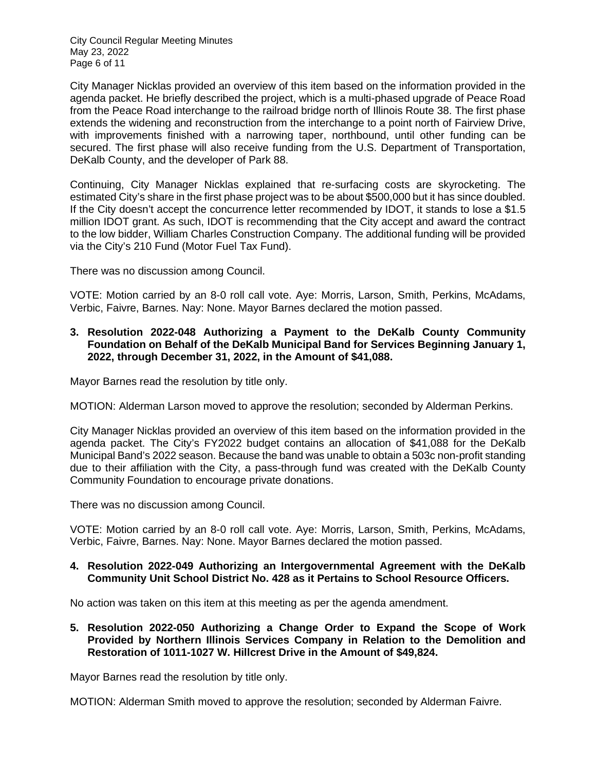City Council Regular Meeting Minutes May 23, 2022 Page 6 of 11

City Manager Nicklas provided an overview of this item based on the information provided in the agenda packet. He briefly described the project, which is a multi-phased upgrade of Peace Road from the Peace Road interchange to the railroad bridge north of Illinois Route 38. The first phase extends the widening and reconstruction from the interchange to a point north of Fairview Drive, with improvements finished with a narrowing taper, northbound, until other funding can be secured. The first phase will also receive funding from the U.S. Department of Transportation, DeKalb County, and the developer of Park 88.

Continuing, City Manager Nicklas explained that re-surfacing costs are skyrocketing. The estimated City's share in the first phase project was to be about \$500,000 but it has since doubled. If the City doesn't accept the concurrence letter recommended by IDOT, it stands to lose a \$1.5 million IDOT grant. As such, IDOT is recommending that the City accept and award the contract to the low bidder, William Charles Construction Company. The additional funding will be provided via the City's 210 Fund (Motor Fuel Tax Fund).

There was no discussion among Council.

VOTE: Motion carried by an 8-0 roll call vote. Aye: Morris, Larson, Smith, Perkins, McAdams, Verbic, Faivre, Barnes. Nay: None. Mayor Barnes declared the motion passed.

## **3. Resolution 2022-048 Authorizing a Payment to the DeKalb County Community Foundation on Behalf of the DeKalb Municipal Band for Services Beginning January 1, 2022, through December 31, 2022, in the Amount of \$41,088.**

Mayor Barnes read the resolution by title only.

MOTION: Alderman Larson moved to approve the resolution; seconded by Alderman Perkins.

City Manager Nicklas provided an overview of this item based on the information provided in the agenda packet. The City's FY2022 budget contains an allocation of \$41,088 for the DeKalb Municipal Band's 2022 season. Because the band was unable to obtain a 503c non-profit standing due to their affiliation with the City, a pass-through fund was created with the DeKalb County Community Foundation to encourage private donations.

There was no discussion among Council.

VOTE: Motion carried by an 8-0 roll call vote. Aye: Morris, Larson, Smith, Perkins, McAdams, Verbic, Faivre, Barnes. Nay: None. Mayor Barnes declared the motion passed.

## **4. Resolution 2022-049 Authorizing an Intergovernmental Agreement with the DeKalb Community Unit School District No. 428 as it Pertains to School Resource Officers.**

No action was taken on this item at this meeting as per the agenda amendment.

**5. Resolution 2022-050 Authorizing a Change Order to Expand the Scope of Work Provided by Northern Illinois Services Company in Relation to the Demolition and Restoration of 1011-1027 W. Hillcrest Drive in the Amount of \$49,824.**

Mayor Barnes read the resolution by title only.

MOTION: Alderman Smith moved to approve the resolution; seconded by Alderman Faivre.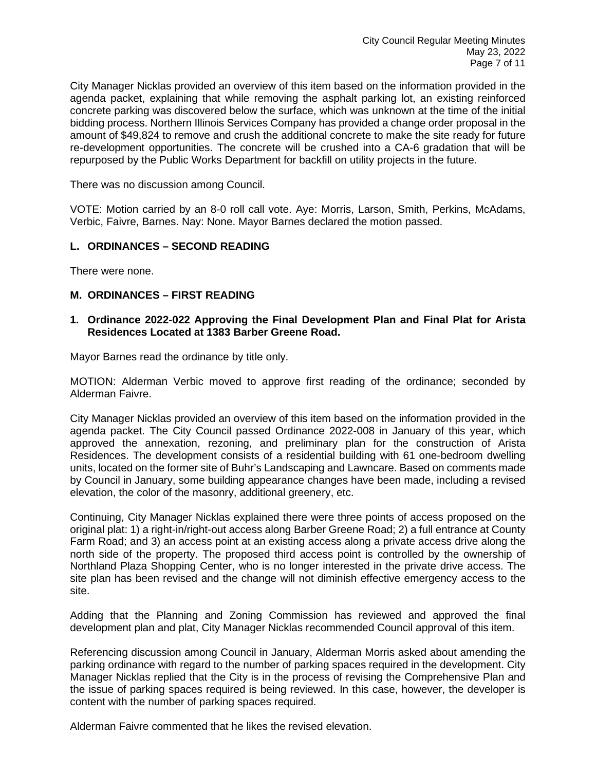City Manager Nicklas provided an overview of this item based on the information provided in the agenda packet, explaining that while removing the asphalt parking lot, an existing reinforced concrete parking was discovered below the surface, which was unknown at the time of the initial bidding process. Northern Illinois Services Company has provided a change order proposal in the amount of \$49,824 to remove and crush the additional concrete to make the site ready for future re-development opportunities. The concrete will be crushed into a CA-6 gradation that will be repurposed by the Public Works Department for backfill on utility projects in the future.

There was no discussion among Council.

VOTE: Motion carried by an 8-0 roll call vote. Aye: Morris, Larson, Smith, Perkins, McAdams, Verbic, Faivre, Barnes. Nay: None. Mayor Barnes declared the motion passed.

## **L. ORDINANCES – SECOND READING**

There were none.

## **M. ORDINANCES – FIRST READING**

**1. Ordinance 2022-022 Approving the Final Development Plan and Final Plat for Arista Residences Located at 1383 Barber Greene Road.** 

Mayor Barnes read the ordinance by title only.

MOTION: Alderman Verbic moved to approve first reading of the ordinance; seconded by Alderman Faivre.

City Manager Nicklas provided an overview of this item based on the information provided in the agenda packet. The City Council passed Ordinance 2022-008 in January of this year, which approved the annexation, rezoning, and preliminary plan for the construction of Arista Residences. The development consists of a residential building with 61 one-bedroom dwelling units, located on the former site of Buhr's Landscaping and Lawncare. Based on comments made by Council in January, some building appearance changes have been made, including a revised elevation, the color of the masonry, additional greenery, etc.

Continuing, City Manager Nicklas explained there were three points of access proposed on the original plat: 1) a right-in/right-out access along Barber Greene Road; 2) a full entrance at County Farm Road; and 3) an access point at an existing access along a private access drive along the north side of the property. The proposed third access point is controlled by the ownership of Northland Plaza Shopping Center, who is no longer interested in the private drive access. The site plan has been revised and the change will not diminish effective emergency access to the site.

Adding that the Planning and Zoning Commission has reviewed and approved the final development plan and plat, City Manager Nicklas recommended Council approval of this item.

Referencing discussion among Council in January, Alderman Morris asked about amending the parking ordinance with regard to the number of parking spaces required in the development. City Manager Nicklas replied that the City is in the process of revising the Comprehensive Plan and the issue of parking spaces required is being reviewed. In this case, however, the developer is content with the number of parking spaces required.

Alderman Faivre commented that he likes the revised elevation.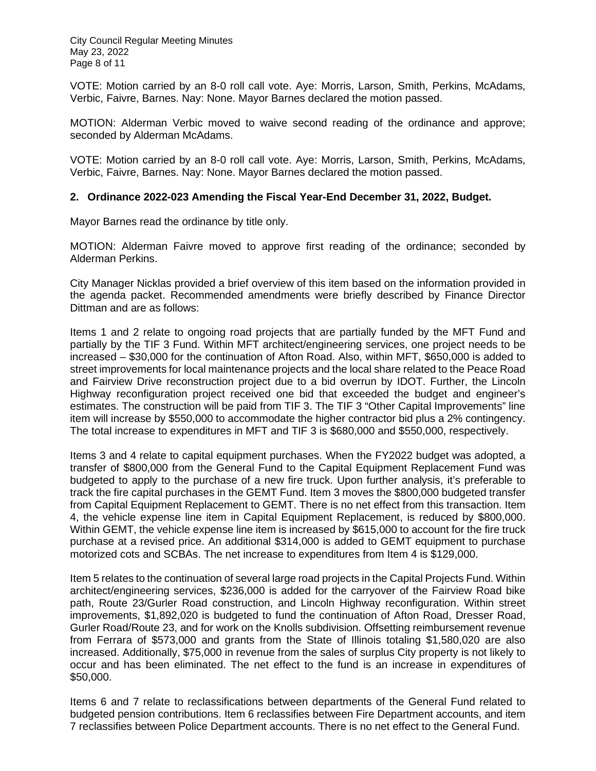City Council Regular Meeting Minutes May 23, 2022 Page 8 of 11

VOTE: Motion carried by an 8-0 roll call vote. Aye: Morris, Larson, Smith, Perkins, McAdams, Verbic, Faivre, Barnes. Nay: None. Mayor Barnes declared the motion passed.

MOTION: Alderman Verbic moved to waive second reading of the ordinance and approve; seconded by Alderman McAdams.

VOTE: Motion carried by an 8-0 roll call vote. Aye: Morris, Larson, Smith, Perkins, McAdams, Verbic, Faivre, Barnes. Nay: None. Mayor Barnes declared the motion passed.

#### **2. Ordinance 2022-023 Amending the Fiscal Year-End December 31, 2022, Budget.**

Mayor Barnes read the ordinance by title only.

MOTION: Alderman Faivre moved to approve first reading of the ordinance; seconded by Alderman Perkins.

City Manager Nicklas provided a brief overview of this item based on the information provided in the agenda packet. Recommended amendments were briefly described by Finance Director Dittman and are as follows:

Items 1 and 2 relate to ongoing road projects that are partially funded by the MFT Fund and partially by the TIF 3 Fund. Within MFT architect/engineering services, one project needs to be increased – \$30,000 for the continuation of Afton Road. Also, within MFT, \$650,000 is added to street improvements for local maintenance projects and the local share related to the Peace Road and Fairview Drive reconstruction project due to a bid overrun by IDOT. Further, the Lincoln Highway reconfiguration project received one bid that exceeded the budget and engineer's estimates. The construction will be paid from TIF 3. The TIF 3 "Other Capital Improvements" line item will increase by \$550,000 to accommodate the higher contractor bid plus a 2% contingency. The total increase to expenditures in MFT and TIF 3 is \$680,000 and \$550,000, respectively.

Items 3 and 4 relate to capital equipment purchases. When the FY2022 budget was adopted, a transfer of \$800,000 from the General Fund to the Capital Equipment Replacement Fund was budgeted to apply to the purchase of a new fire truck. Upon further analysis, it's preferable to track the fire capital purchases in the GEMT Fund. Item 3 moves the \$800,000 budgeted transfer from Capital Equipment Replacement to GEMT. There is no net effect from this transaction. Item 4, the vehicle expense line item in Capital Equipment Replacement, is reduced by \$800,000. Within GEMT, the vehicle expense line item is increased by \$615,000 to account for the fire truck purchase at a revised price. An additional \$314,000 is added to GEMT equipment to purchase motorized cots and SCBAs. The net increase to expenditures from Item 4 is \$129,000.

Item 5 relates to the continuation of several large road projects in the Capital Projects Fund. Within architect/engineering services, \$236,000 is added for the carryover of the Fairview Road bike path, Route 23/Gurler Road construction, and Lincoln Highway reconfiguration. Within street improvements, \$1,892,020 is budgeted to fund the continuation of Afton Road, Dresser Road, Gurler Road/Route 23, and for work on the Knolls subdivision. Offsetting reimbursement revenue from Ferrara of \$573,000 and grants from the State of Illinois totaling \$1,580,020 are also increased. Additionally, \$75,000 in revenue from the sales of surplus City property is not likely to occur and has been eliminated. The net effect to the fund is an increase in expenditures of \$50,000.

Items 6 and 7 relate to reclassifications between departments of the General Fund related to budgeted pension contributions. Item 6 reclassifies between Fire Department accounts, and item 7 reclassifies between Police Department accounts. There is no net effect to the General Fund.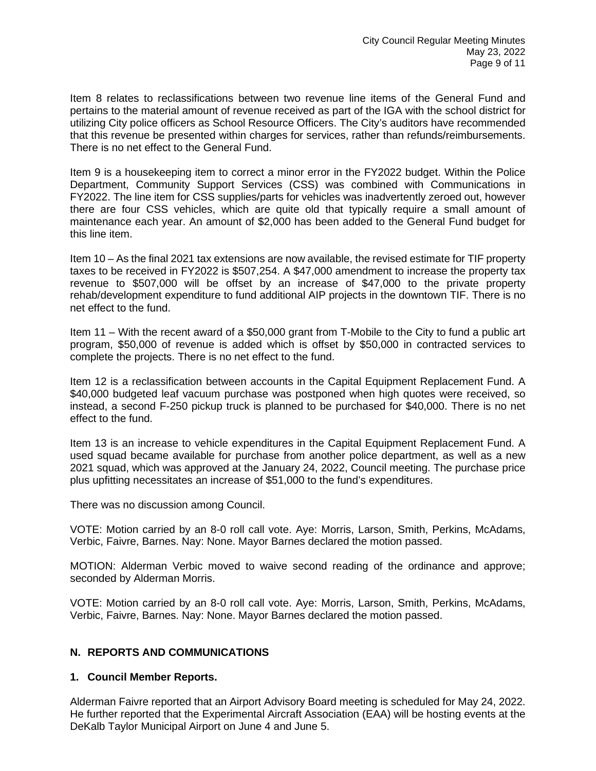Item 8 relates to reclassifications between two revenue line items of the General Fund and pertains to the material amount of revenue received as part of the IGA with the school district for utilizing City police officers as School Resource Officers. The City's auditors have recommended that this revenue be presented within charges for services, rather than refunds/reimbursements. There is no net effect to the General Fund.

Item 9 is a housekeeping item to correct a minor error in the FY2022 budget. Within the Police Department, Community Support Services (CSS) was combined with Communications in FY2022. The line item for CSS supplies/parts for vehicles was inadvertently zeroed out, however there are four CSS vehicles, which are quite old that typically require a small amount of maintenance each year. An amount of \$2,000 has been added to the General Fund budget for this line item.

Item 10 – As the final 2021 tax extensions are now available, the revised estimate for TIF property taxes to be received in FY2022 is \$507,254. A \$47,000 amendment to increase the property tax revenue to \$507,000 will be offset by an increase of \$47,000 to the private property rehab/development expenditure to fund additional AIP projects in the downtown TIF. There is no net effect to the fund.

Item 11 – With the recent award of a \$50,000 grant from T-Mobile to the City to fund a public art program, \$50,000 of revenue is added which is offset by \$50,000 in contracted services to complete the projects. There is no net effect to the fund.

Item 12 is a reclassification between accounts in the Capital Equipment Replacement Fund. A \$40,000 budgeted leaf vacuum purchase was postponed when high quotes were received, so instead, a second F-250 pickup truck is planned to be purchased for \$40,000. There is no net effect to the fund.

Item 13 is an increase to vehicle expenditures in the Capital Equipment Replacement Fund. A used squad became available for purchase from another police department, as well as a new 2021 squad, which was approved at the January 24, 2022, Council meeting. The purchase price plus upfitting necessitates an increase of \$51,000 to the fund's expenditures.

There was no discussion among Council.

VOTE: Motion carried by an 8-0 roll call vote. Aye: Morris, Larson, Smith, Perkins, McAdams, Verbic, Faivre, Barnes. Nay: None. Mayor Barnes declared the motion passed.

MOTION: Alderman Verbic moved to waive second reading of the ordinance and approve; seconded by Alderman Morris.

VOTE: Motion carried by an 8-0 roll call vote. Aye: Morris, Larson, Smith, Perkins, McAdams, Verbic, Faivre, Barnes. Nay: None. Mayor Barnes declared the motion passed.

## **N. REPORTS AND COMMUNICATIONS**

## **1. Council Member Reports.**

Alderman Faivre reported that an Airport Advisory Board meeting is scheduled for May 24, 2022. He further reported that the Experimental Aircraft Association (EAA) will be hosting events at the DeKalb Taylor Municipal Airport on June 4 and June 5.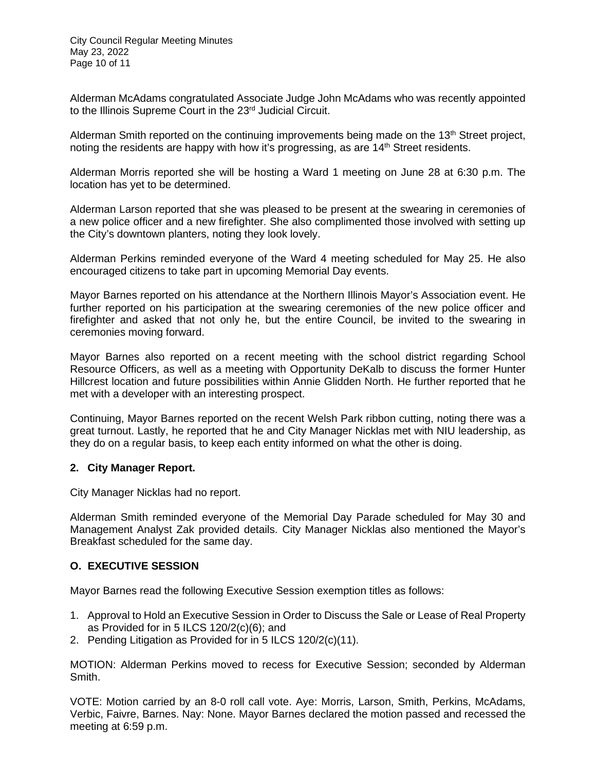Alderman McAdams congratulated Associate Judge John McAdams who was recently appointed to the Illinois Supreme Court in the 23<sup>rd</sup> Judicial Circuit.

Alderman Smith reported on the continuing improvements being made on the 13<sup>th</sup> Street project, noting the residents are happy with how it's progressing, as are  $14<sup>th</sup>$  Street residents.

Alderman Morris reported she will be hosting a Ward 1 meeting on June 28 at 6:30 p.m. The location has yet to be determined.

Alderman Larson reported that she was pleased to be present at the swearing in ceremonies of a new police officer and a new firefighter. She also complimented those involved with setting up the City's downtown planters, noting they look lovely.

Alderman Perkins reminded everyone of the Ward 4 meeting scheduled for May 25. He also encouraged citizens to take part in upcoming Memorial Day events.

Mayor Barnes reported on his attendance at the Northern Illinois Mayor's Association event. He further reported on his participation at the swearing ceremonies of the new police officer and firefighter and asked that not only he, but the entire Council, be invited to the swearing in ceremonies moving forward.

Mayor Barnes also reported on a recent meeting with the school district regarding School Resource Officers, as well as a meeting with Opportunity DeKalb to discuss the former Hunter Hillcrest location and future possibilities within Annie Glidden North. He further reported that he met with a developer with an interesting prospect.

Continuing, Mayor Barnes reported on the recent Welsh Park ribbon cutting, noting there was a great turnout. Lastly, he reported that he and City Manager Nicklas met with NIU leadership, as they do on a regular basis, to keep each entity informed on what the other is doing.

## **2. City Manager Report.**

City Manager Nicklas had no report.

Alderman Smith reminded everyone of the Memorial Day Parade scheduled for May 30 and Management Analyst Zak provided details. City Manager Nicklas also mentioned the Mayor's Breakfast scheduled for the same day.

## **O. EXECUTIVE SESSION**

Mayor Barnes read the following Executive Session exemption titles as follows:

- 1. Approval to Hold an Executive Session in Order to Discuss the Sale or Lease of Real Property as Provided for in 5 ILCS 120/2(c)(6); and
- 2. Pending Litigation as Provided for in 5 ILCS 120/2(c)(11).

MOTION: Alderman Perkins moved to recess for Executive Session; seconded by Alderman Smith.

VOTE: Motion carried by an 8-0 roll call vote. Aye: Morris, Larson, Smith, Perkins, McAdams, Verbic, Faivre, Barnes. Nay: None. Mayor Barnes declared the motion passed and recessed the meeting at 6:59 p.m.